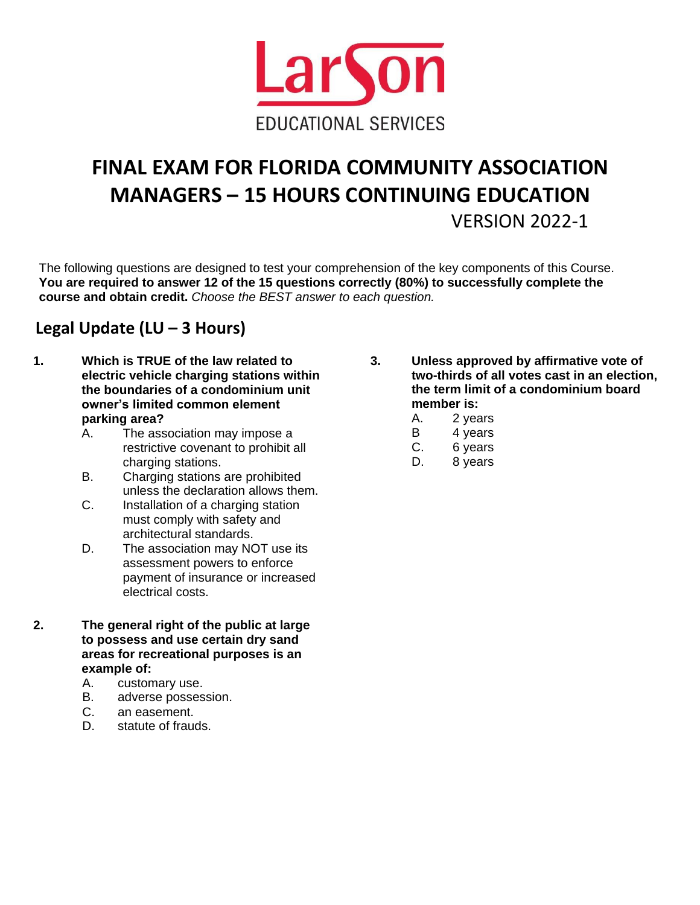

# **FINAL EXAM FOR FLORIDA COMMUNITY ASSOCIATION MANAGERS – 15 HOURS CONTINUING EDUCATION** VERSION 2022-1

The following questions are designed to test your comprehension of the key components of this Course. **You are required to answer 12 of the 15 questions correctly (80%) to successfully complete the course and obtain credit.** *Choose the BEST answer to each question.*

### **Legal Update (LU – 3 Hours)**

- **1. Which is TRUE of the law related to electric vehicle charging stations within the boundaries of a condominium unit owner's limited common element parking area?**
	- A. The association may impose a restrictive covenant to prohibit all charging stations.
	- B. Charging stations are prohibited unless the declaration allows them.
	- C. Installation of a charging station must comply with safety and architectural standards.
	- D. The association may NOT use its assessment powers to enforce payment of insurance or increased electrical costs.
- **2. The general right of the public at large to possess and use certain dry sand areas for recreational purposes is an example of:**
	- A. customary use.
	- B. adverse possession.
	- C. an easement.
	- D. statute of frauds.
- **3. Unless approved by affirmative vote of two-thirds of all votes cast in an election, the term limit of a condominium board member is:**
	- A. 2 years
	- B 4 years
	- C. 6 years
	- D. 8 years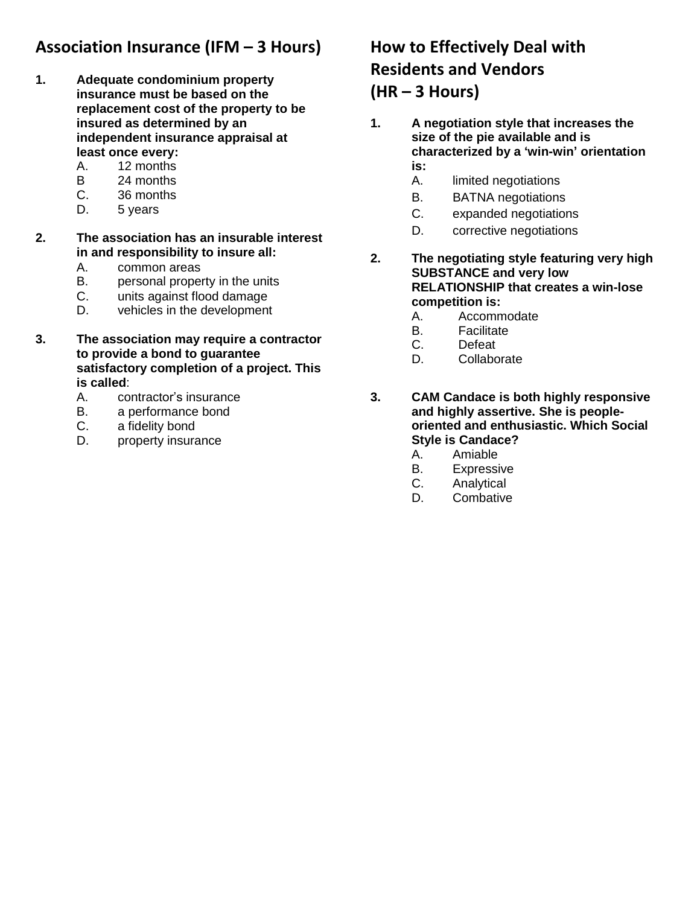### **Association Insurance (IFM – 3 Hours)**

- **1. Adequate condominium property insurance must be based on the replacement cost of the property to be insured as determined by an independent insurance appraisal at least once every:**
	- A. 12 months
	- B 24 months
	- C. 36 months
	- D. 5 years
- **2. The association has an insurable interest in and responsibility to insure all:**
	- A. common areas
	- B. personal property in the units
	- C. units against flood damage
	- D. vehicles in the development
- **3. The association may require a contractor to provide a bond to guarantee satisfactory completion of a project. This is called**:
	- A. contractor's insurance
	- B. a performance bond
	- C. a fidelity bond
	- D. property insurance

# **How to Effectively Deal with Residents and Vendors**

### **(HR – 3 Hours)**

- **1. A negotiation style that increases the size of the pie available and is characterized by a 'win-win' orientation is:**
	- A. limited negotiations
	- B. BATNA negotiations
	- C. expanded negotiations
	- D. corrective negotiations
- **2. The negotiating style featuring very high SUBSTANCE and very low RELATIONSHIP that creates a win-lose competition is:**
	- A. Accommodate
	- B. Facilitate
	- C. Defeat
	- D. Collaborate
- **3. CAM Candace is both highly responsive and highly assertive. She is peopleoriented and enthusiastic. Which Social Style is Candace?**
	- A. Amiable
	- B. Expressive
	- C. Analytical
	- D. Combative